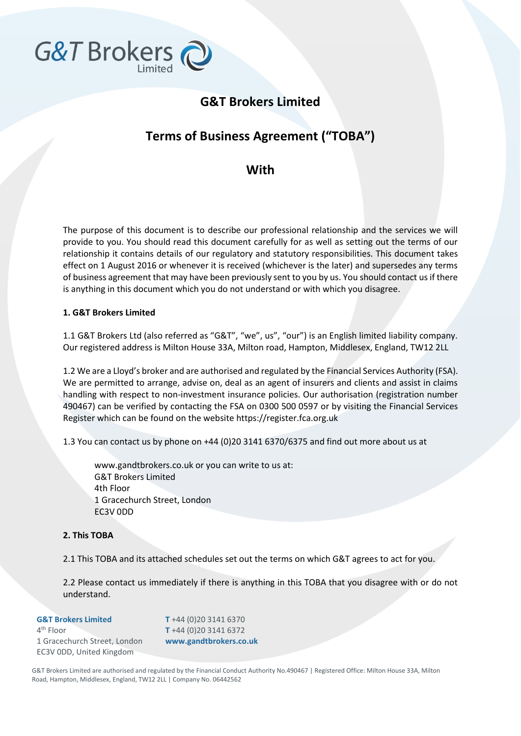

# **G&T Brokers Limited**

# **Terms of Business Agreement ("TOBA")**

# **With**

The purpose of this document is to describe our professional relationship and the services we will provide to you. You should read this document carefully for as well as setting out the terms of our relationship it contains details of our regulatory and statutory responsibilities. This document takes effect on 1 August 2016 or whenever it is received (whichever is the later) and supersedes any terms of business agreement that may have been previously sent to you by us. You should contact us if there is anything in this document which you do not understand or with which you disagree.

# **1. G&T Brokers Limited**

1.1 G&T Brokers Ltd (also referred as "G&T", "we", us", "our") is an English limited liability company. Our registered address is Milton House 33A, Milton road, Hampton, Middlesex, England, TW12 2LL

1.2 We are a Lloyd's broker and are authorised and regulated by the Financial Services Authority (FSA). We are permitted to arrange, advise on, deal as an agent of insurers and clients and assist in claims handling with respect to non-investment insurance policies. Our authorisation (registration number 490467) can be verified by contacting the FSA on 0300 500 0597 or by visiting the Financial Services Register which can be found on the website https://register.fca.org.uk

1.3 You can contact us by phone on +44 (0)20 3141 6370/6375 and find out more about us at

www.gandtbrokers.co.uk or you can write to us at: G&T Brokers Limited 4th Floor 1 Gracechurch Street, London EC3V 0DD

# **2. This TOBA**

2.1 This TOBA and its attached schedules set out the terms on which G&T agrees to act for you.

2.2 Please contact us immediately if there is anything in this TOBA that you disagree with or do not understand.

| <b>G&amp;T Brokers Limited</b> | T +44 (0) 20 3141 6370 |
|--------------------------------|------------------------|
| $4th$ Floor                    | T +44 (0) 20 3141 6372 |
| 1 Gracechurch Street, London   | www.gandtbrokers.co.uk |
| EC3V ODD, United Kingdom       |                        |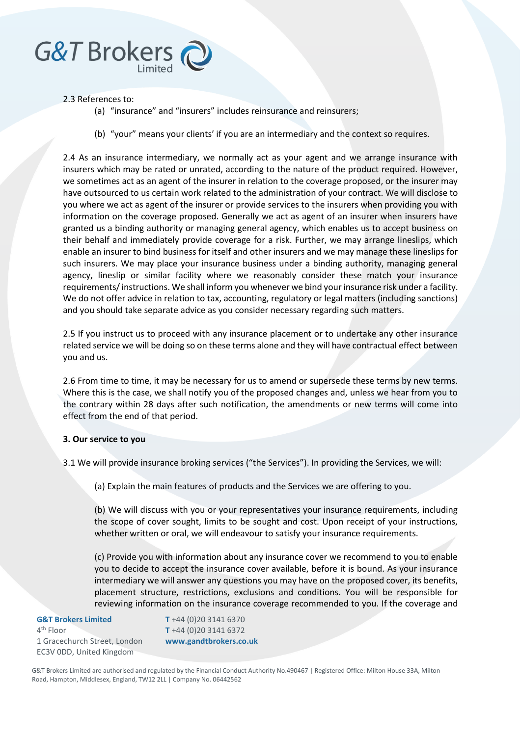# G&T Brokers

#### 2.3 References to:

- (a) "insurance" and "insurers" includes reinsurance and reinsurers;
- (b) "your" means your clients' if you are an intermediary and the context so requires.

2.4 As an insurance intermediary, we normally act as your agent and we arrange insurance with insurers which may be rated or unrated, according to the nature of the product required. However, we sometimes act as an agent of the insurer in relation to the coverage proposed, or the insurer may have outsourced to us certain work related to the administration of your contract. We will disclose to you where we act as agent of the insurer or provide services to the insurers when providing you with information on the coverage proposed. Generally we act as agent of an insurer when insurers have granted us a binding authority or managing general agency, which enables us to accept business on their behalf and immediately provide coverage for a risk. Further, we may arrange lineslips, which enable an insurer to bind business for itself and other insurers and we may manage these lineslips for such insurers. We may place your insurance business under a binding authority, managing general agency, lineslip or similar facility where we reasonably consider these match your insurance requirements/ instructions. We shall inform you whenever we bind your insurance risk under a facility. We do not offer advice in relation to tax, accounting, regulatory or legal matters (including sanctions) and you should take separate advice as you consider necessary regarding such matters.

2.5 If you instruct us to proceed with any insurance placement or to undertake any other insurance related service we will be doing so on these terms alone and they will have contractual effect between you and us.

2.6 From time to time, it may be necessary for us to amend or supersede these terms by new terms. Where this is the case, we shall notify you of the proposed changes and, unless we hear from you to the contrary within 28 days after such notification, the amendments or new terms will come into effect from the end of that period.

# **3. Our service to you**

3.1 We will provide insurance broking services ("the Services"). In providing the Services, we will:

(a) Explain the main features of products and the Services we are offering to you.

(b) We will discuss with you or your representatives your insurance requirements, including the scope of cover sought, limits to be sought and cost. Upon receipt of your instructions, whether written or oral, we will endeavour to satisfy your insurance requirements.

(c) Provide you with information about any insurance cover we recommend to you to enable you to decide to accept the insurance cover available, before it is bound. As your insurance intermediary we will answer any questions you may have on the proposed cover, its benefits, placement structure, restrictions, exclusions and conditions. You will be responsible for reviewing information on the insurance coverage recommended to you. If the coverage and

#### **G&T Brokers Limited** 4<sup>th</sup> Floor 1 Gracechurch Street, London EC3V 0DD, United Kingdom

**T** +44 (0)20 3141 6370 **T** +44 (0)20 3141 6372 **www.gandtbrokers.co.uk**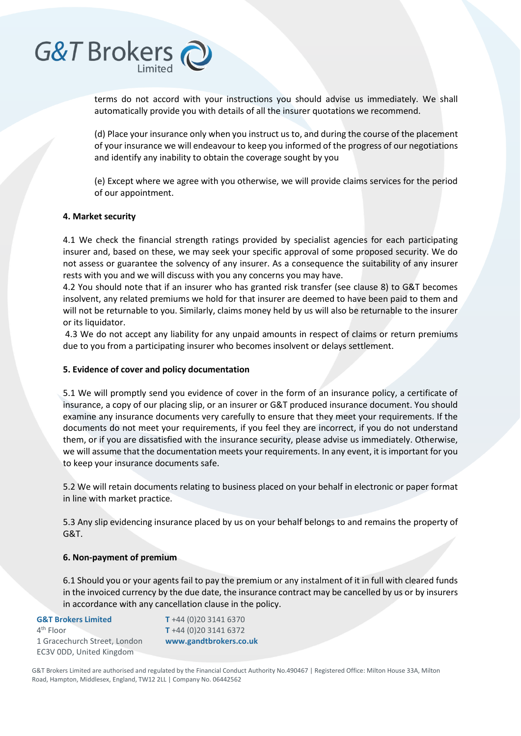

terms do not accord with your instructions you should advise us immediately. We shall automatically provide you with details of all the insurer quotations we recommend.

(d) Place your insurance only when you instruct us to, and during the course of the placement of your insurance we will endeavour to keep you informed of the progress of our negotiations and identify any inability to obtain the coverage sought by you

(e) Except where we agree with you otherwise, we will provide claims services for the period of our appointment.

#### **4. Market security**

4.1 We check the financial strength ratings provided by specialist agencies for each participating insurer and, based on these, we may seek your specific approval of some proposed security. We do not assess or guarantee the solvency of any insurer. As a consequence the suitability of any insurer rests with you and we will discuss with you any concerns you may have.

4.2 You should note that if an insurer who has granted risk transfer (see clause 8) to G&T becomes insolvent, any related premiums we hold for that insurer are deemed to have been paid to them and will not be returnable to you. Similarly, claims money held by us will also be returnable to the insurer or its liquidator.

4.3 We do not accept any liability for any unpaid amounts in respect of claims or return premiums due to you from a participating insurer who becomes insolvent or delays settlement.

#### **5. Evidence of cover and policy documentation**

5.1 We will promptly send you evidence of cover in the form of an insurance policy, a certificate of insurance, a copy of our placing slip, or an insurer or G&T produced insurance document. You should examine any insurance documents very carefully to ensure that they meet your requirements. If the documents do not meet your requirements, if you feel they are incorrect, if you do not understand them, or if you are dissatisfied with the insurance security, please advise us immediately. Otherwise, we will assume that the documentation meets your requirements. In any event, it is important for you to keep your insurance documents safe.

5.2 We will retain documents relating to business placed on your behalf in electronic or paper format in line with market practice.

5.3 Any slip evidencing insurance placed by us on your behalf belongs to and remains the property of G&T.

#### **6. Non-payment of premium**

6.1 Should you or your agents fail to pay the premium or any instalment of it in full with cleared funds in the invoiced currency by the due date, the insurance contract may be cancelled by us or by insurers in accordance with any cancellation clause in the policy.

| <b>G&amp;T Brokers Limited</b><br>$4th$ Floor | T +44 (0) 20 3141 6370<br>T +44 (0) 20 3141 6372 |
|-----------------------------------------------|--------------------------------------------------|
| 1 Gracechurch Street, London                  | www.gandtbrokers.co.uk                           |
| EC3V ODD, United Kingdom                      |                                                  |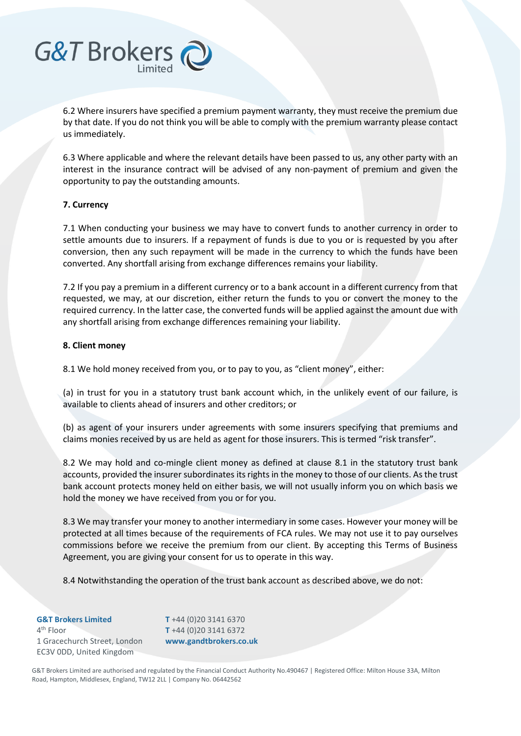

6.3 Where applicable and where the relevant details have been passed to us, any other party with an interest in the insurance contract will be advised of any non-payment of premium and given the opportunity to pay the outstanding amounts.

#### **7. Currency**

**G&T Brokers** 

7.1 When conducting your business we may have to convert funds to another currency in order to settle amounts due to insurers. If a repayment of funds is due to you or is requested by you after conversion, then any such repayment will be made in the currency to which the funds have been converted. Any shortfall arising from exchange differences remains your liability.

7.2 If you pay a premium in a different currency or to a bank account in a different currency from that requested, we may, at our discretion, either return the funds to you or convert the money to the required currency. In the latter case, the converted funds will be applied against the amount due with any shortfall arising from exchange differences remaining your liability.

#### **8. Client money**

8.1 We hold money received from you, or to pay to you, as "client money", either:

(a) in trust for you in a statutory trust bank account which, in the unlikely event of our failure, is available to clients ahead of insurers and other creditors; or

(b) as agent of your insurers under agreements with some insurers specifying that premiums and claims monies received by us are held as agent for those insurers. This is termed "risk transfer".

8.2 We may hold and co-mingle client money as defined at clause 8.1 in the statutory trust bank accounts, provided the insurer subordinates its rights in the money to those of our clients. As the trust bank account protects money held on either basis, we will not usually inform you on which basis we hold the money we have received from you or for you.

8.3 We may transfer your money to another intermediary in some cases. However your money will be protected at all times because of the requirements of FCA rules. We may not use it to pay ourselves commissions before we receive the premium from our client. By accepting this Terms of Business Agreement, you are giving your consent for us to operate in this way.

8.4 Notwithstanding the operation of the trust bank account as described above, we do not:

**G&T Brokers Limited** 4<sup>th</sup> Floor 1 Gracechurch Street, London EC3V 0DD, United Kingdom

**T** +44 (0)20 3141 6370 **T** +44 (0)20 3141 6372 **www.gandtbrokers.co.uk**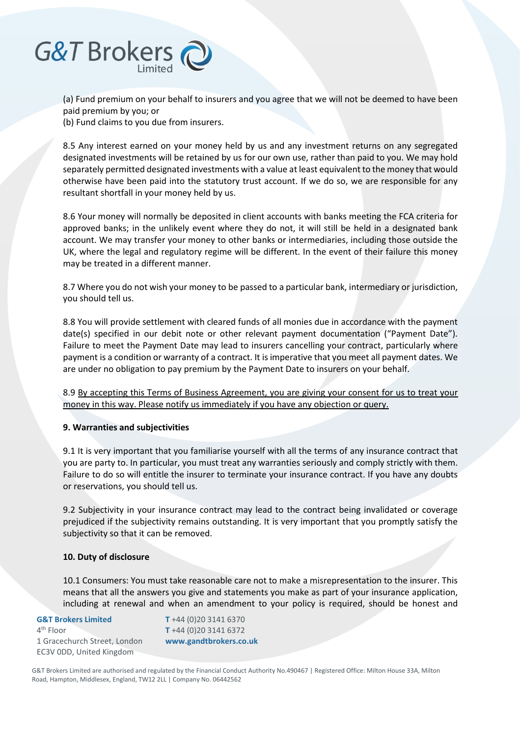

(a) Fund premium on your behalf to insurers and you agree that we will not be deemed to have been paid premium by you; or

(b) Fund claims to you due from insurers.

8.5 Any interest earned on your money held by us and any investment returns on any segregated designated investments will be retained by us for our own use, rather than paid to you. We may hold separately permitted designated investments with a value at least equivalent to the money that would otherwise have been paid into the statutory trust account. If we do so, we are responsible for any resultant shortfall in your money held by us.

8.6 Your money will normally be deposited in client accounts with banks meeting the FCA criteria for approved banks; in the unlikely event where they do not, it will still be held in a designated bank account. We may transfer your money to other banks or intermediaries, including those outside the UK, where the legal and regulatory regime will be different. In the event of their failure this money may be treated in a different manner.

8.7 Where you do not wish your money to be passed to a particular bank, intermediary or jurisdiction, you should tell us.

8.8 You will provide settlement with cleared funds of all monies due in accordance with the payment date(s) specified in our debit note or other relevant payment documentation ("Payment Date"). Failure to meet the Payment Date may lead to insurers cancelling your contract, particularly where payment is a condition or warranty of a contract. It is imperative that you meet all payment dates. We are under no obligation to pay premium by the Payment Date to insurers on your behalf.

8.9 By accepting this Terms of Business Agreement, you are giving your consent for us to treat your money in this way. Please notify us immediately if you have any objection or query.

# **9. Warranties and subjectivities**

9.1 It is very important that you familiarise yourself with all the terms of any insurance contract that you are party to. In particular, you must treat any warranties seriously and comply strictly with them. Failure to do so will entitle the insurer to terminate your insurance contract. If you have any doubts or reservations, you should tell us.

9.2 Subjectivity in your insurance contract may lead to the contract being invalidated or coverage prejudiced if the subjectivity remains outstanding. It is very important that you promptly satisfy the subjectivity so that it can be removed.

#### **10. Duty of disclosure**

10.1 Consumers: You must take reasonable care not to make a misrepresentation to the insurer. This means that all the answers you give and statements you make as part of your insurance application, including at renewal and when an amendment to your policy is required, should be honest and

#### **G&T Brokers Limited** 4<sup>th</sup> Floor 1 Gracechurch Street, London EC3V 0DD, United Kingdom

**T** +44 (0)20 3141 6370 **T** +44 (0)20 3141 6372 **www.gandtbrokers.co.uk**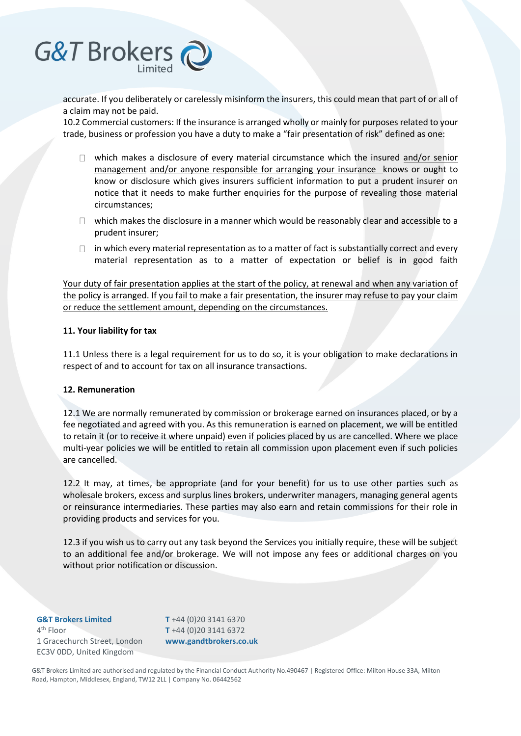

accurate. If you deliberately or carelessly misinform the insurers, this could mean that part of or all of a claim may not be paid.

10.2 Commercial customers: If the insurance is arranged wholly or mainly for purposes related to your trade, business or profession you have a duty to make a "fair presentation of risk" defined as one:

- $\Box$  which makes a disclosure of every material circumstance which the insured and/or senior management and/or anyone responsible for arranging your insurance knows or ought to know or disclosure which gives insurers sufficient information to put a prudent insurer on notice that it needs to make further enquiries for the purpose of revealing those material circumstances;
- $\Box$  which makes the disclosure in a manner which would be reasonably clear and accessible to a prudent insurer;
- $\Box$  in which every material representation as to a matter of fact is substantially correct and every material representation as to a matter of expectation or belief is in good faith

Your duty of fair presentation applies at the start of the policy, at renewal and when any variation of the policy is arranged. If you fail to make a fair presentation, the insurer may refuse to pay your claim or reduce the settlement amount, depending on the circumstances.

#### **11. Your liability for tax**

11.1 Unless there is a legal requirement for us to do so, it is your obligation to make declarations in respect of and to account for tax on all insurance transactions.

#### **12. Remuneration**

12.1 We are normally remunerated by commission or brokerage earned on insurances placed, or by a fee negotiated and agreed with you. As this remuneration is earned on placement, we will be entitled to retain it (or to receive it where unpaid) even if policies placed by us are cancelled. Where we place multi-year policies we will be entitled to retain all commission upon placement even if such policies are cancelled.

12.2 It may, at times, be appropriate (and for your benefit) for us to use other parties such as wholesale brokers, excess and surplus lines brokers, underwriter managers, managing general agents or reinsurance intermediaries. These parties may also earn and retain commissions for their role in providing products and services for you.

12.3 if you wish us to carry out any task beyond the Services you initially require, these will be subject to an additional fee and/or brokerage. We will not impose any fees or additional charges on you without prior notification or discussion.

**G&T Brokers Limited** 4<sup>th</sup> Floor 1 Gracechurch Street, London EC3V 0DD, United Kingdom

**T** +44 (0)20 3141 6370 **T** +44 (0)20 3141 6372 **www.gandtbrokers.co.uk**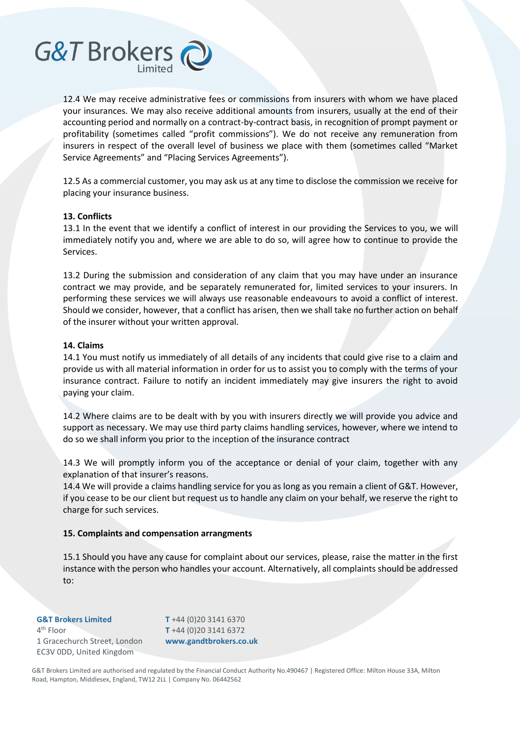

12.5 As a commercial customer, you may ask us at any time to disclose the commission we receive for placing your insurance business.

#### **13. Conflicts**

G&T Brokers

13.1 In the event that we identify a conflict of interest in our providing the Services to you, we will immediately notify you and, where we are able to do so, will agree how to continue to provide the Services.

13.2 During the submission and consideration of any claim that you may have under an insurance contract we may provide, and be separately remunerated for, limited services to your insurers. In performing these services we will always use reasonable endeavours to avoid a conflict of interest. Should we consider, however, that a conflict has arisen, then we shall take no further action on behalf of the insurer without your written approval.

#### **14. Claims**

14.1 You must notify us immediately of all details of any incidents that could give rise to a claim and provide us with all material information in order for us to assist you to comply with the terms of your insurance contract. Failure to notify an incident immediately may give insurers the right to avoid paying your claim.

14.2 Where claims are to be dealt with by you with insurers directly we will provide you advice and support as necessary. We may use third party claims handling services, however, where we intend to do so we shall inform you prior to the inception of the insurance contract

14.3 We will promptly inform you of the acceptance or denial of your claim, together with any explanation of that insurer's reasons.

14.4 We will provide a claims handling service for you as long as you remain a client of G&T. However, if you cease to be our client but request us to handle any claim on your behalf, we reserve the right to charge for such services.

#### **15. Complaints and compensation arrangments**

15.1 Should you have any cause for complaint about our services, please, raise the matter in the first instance with the person who handles your account. Alternatively, all complaints should be addressed to:

#### **G&T Brokers Limited** 4<sup>th</sup> Floor 1 Gracechurch Street, London EC3V 0DD, United Kingdom

**T** +44 (0)20 3141 6370 **T** +44 (0)20 3141 6372 **www.gandtbrokers.co.uk**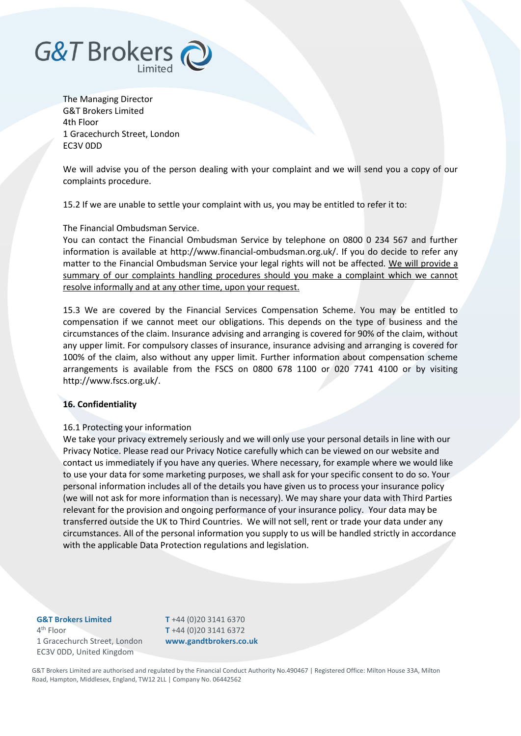

The Managing Director G&T Brokers Limited 4th Floor 1 Gracechurch Street, London EC3V 0DD

We will advise you of the person dealing with your complaint and we will send you a copy of our complaints procedure.

15.2 If we are unable to settle your complaint with us, you may be entitled to refer it to:

#### The Financial Ombudsman Service.

You can contact the Financial Ombudsman Service by telephone on 0800 0 234 567 and further information is available at http://www.financial-ombudsman.org.uk/. If you do decide to refer any matter to the Financial Ombudsman Service your legal rights will not be affected. We will provide a summary of our complaints handling procedures should you make a complaint which we cannot resolve informally and at any other time, upon your request.

15.3 We are covered by the Financial Services Compensation Scheme. You may be entitled to compensation if we cannot meet our obligations. This depends on the type of business and the circumstances of the claim. Insurance advising and arranging is covered for 90% of the claim, without any upper limit. For compulsory classes of insurance, insurance advising and arranging is covered for 100% of the claim, also without any upper limit. Further information about compensation scheme arrangements is available from the FSCS on 0800 678 1100 or 020 7741 4100 or by visiting http://www.fscs.org.uk/.

# **16. Confidentiality**

#### 16.1 Protecting your information

We take your privacy extremely seriously and we will only use your personal details in line with our Privacy Notice. Please read our Privacy Notice carefully which can be viewed on our website and contact us immediately if you have any queries. Where necessary, for example where we would like to use your data for some marketing purposes, we shall ask for your specific consent to do so. Your personal information includes all of the details you have given us to process your insurance policy (we will not ask for more information than is necessary). We may share your data with Third Parties relevant for the provision and ongoing performance of your insurance policy. Your data may be transferred outside the UK to Third Countries. We will not sell, rent or trade your data under any circumstances. All of the personal information you supply to us will be handled strictly in accordance with the applicable Data Protection regulations and legislation.

#### **G&T Brokers Limited** 4<sup>th</sup> Floor 1 Gracechurch Street, London EC3V 0DD, United Kingdom

**T** +44 (0)20 3141 6370 **T** +44 (0)20 3141 6372 **www.gandtbrokers.co.uk**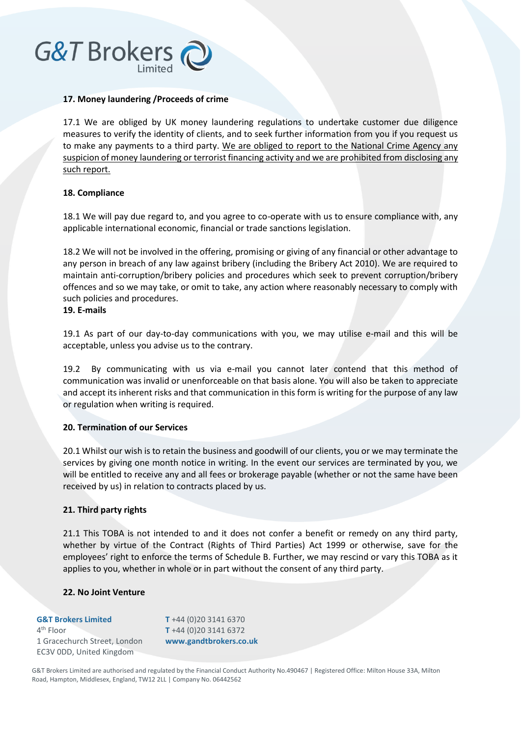# **G&T Brokers**

### **17. Money laundering /Proceeds of crime**

17.1 We are obliged by UK money laundering regulations to undertake customer due diligence measures to verify the identity of clients, and to seek further information from you if you request us to make any payments to a third party. We are obliged to report to the National Crime Agency any suspicion of money laundering or terrorist financing activity and we are prohibited from disclosing any such report.

#### **18. Compliance**

18.1 We will pay due regard to, and you agree to co-operate with us to ensure compliance with, any applicable international economic, financial or trade sanctions legislation.

18.2 We will not be involved in the offering, promising or giving of any financial or other advantage to any person in breach of any law against bribery (including the Bribery Act 2010). We are required to maintain anti-corruption/bribery policies and procedures which seek to prevent corruption/bribery offences and so we may take, or omit to take, any action where reasonably necessary to comply with such policies and procedures.

# **19. E-mails**

19.1 As part of our day-to-day communications with you, we may utilise e-mail and this will be acceptable, unless you advise us to the contrary.

19.2 By communicating with us via e-mail you cannot later contend that this method of communication was invalid or unenforceable on that basis alone. You will also be taken to appreciate and accept its inherent risks and that communication in this form is writing for the purpose of any law or regulation when writing is required.

# **20. Termination of our Services**

20.1 Whilst our wish is to retain the business and goodwill of our clients, you or we may terminate the services by giving one month notice in writing. In the event our services are terminated by you, we will be entitled to receive any and all fees or brokerage payable (whether or not the same have been received by us) in relation to contracts placed by us.

# **21. Third party rights**

21.1 This TOBA is not intended to and it does not confer a benefit or remedy on any third party, whether by virtue of the Contract (Rights of Third Parties) Act 1999 or otherwise, save for the employees' right to enforce the terms of Schedule B. Further, we may rescind or vary this TOBA as it applies to you, whether in whole or in part without the consent of any third party.

#### **22. No Joint Venture**

| <b>G&amp;T Brokers Limited</b> |  |  |
|--------------------------------|--|--|
| $4th$ Floor                    |  |  |
| 1 Gracechurch Street, London   |  |  |
| EC3V ODD, United Kingdom       |  |  |

**T** +44 (0)20 3141 6370 **T** +44 (0)20 3141 6372 **www.gandtbrokers.co.uk**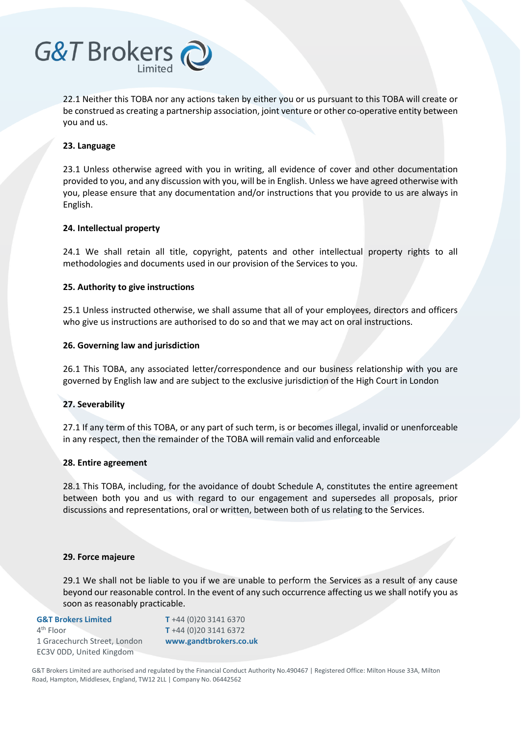

22.1 Neither this TOBA nor any actions taken by either you or us pursuant to this TOBA will create or be construed as creating a partnership association, joint venture or other co-operative entity between you and us.

#### **23. Language**

23.1 Unless otherwise agreed with you in writing, all evidence of cover and other documentation provided to you, and any discussion with you, will be in English. Unless we have agreed otherwise with you, please ensure that any documentation and/or instructions that you provide to us are always in English.

#### **24. Intellectual property**

24.1 We shall retain all title, copyright, patents and other intellectual property rights to all methodologies and documents used in our provision of the Services to you.

#### **25. Authority to give instructions**

25.1 Unless instructed otherwise, we shall assume that all of your employees, directors and officers who give us instructions are authorised to do so and that we may act on oral instructions.

#### **26. Governing law and jurisdiction**

26.1 This TOBA, any associated letter/correspondence and our business relationship with you are governed by English law and are subject to the exclusive jurisdiction of the High Court in London

# **27. Severability**

27.1 If any term of this TOBA, or any part of such term, is or becomes illegal, invalid or unenforceable in any respect, then the remainder of the TOBA will remain valid and enforceable

#### **28. Entire agreement**

28.1 This TOBA, including, for the avoidance of doubt Schedule A, constitutes the entire agreement between both you and us with regard to our engagement and supersedes all proposals, prior discussions and representations, oral or written, between both of us relating to the Services.

#### **29. Force majeure**

29.1 We shall not be liable to you if we are unable to perform the Services as a result of any cause beyond our reasonable control. In the event of any such occurrence affecting us we shall notify you as soon as reasonably practicable.

### **G&T Brokers Limited**

4<sup>th</sup> Floor 1 Gracechurch Street, London EC3V 0DD, United Kingdom

**T** +44 (0)20 3141 6370 **T** +44 (0)20 3141 6372 **www.gandtbrokers.co.uk**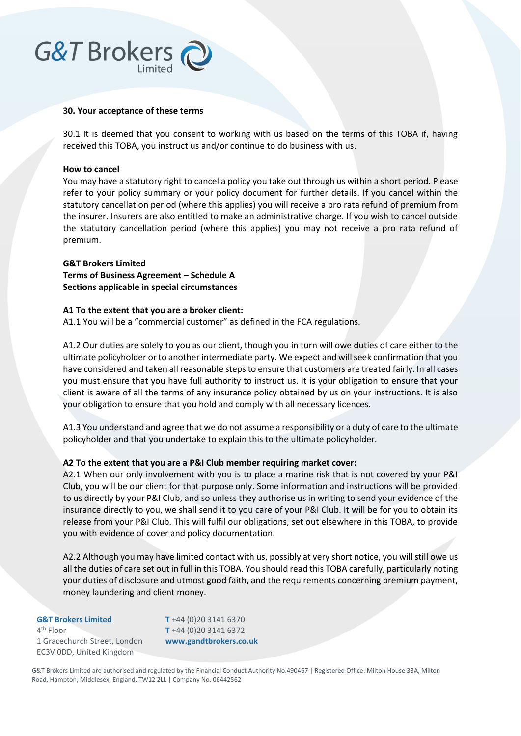# G&T Brokers

#### **30. Your acceptance of these terms**

30.1 It is deemed that you consent to working with us based on the terms of this TOBA if, having received this TOBA, you instruct us and/or continue to do business with us.

#### **How to cancel**

You may have a statutory right to cancel a policy you take out through us within a short period. Please refer to your policy summary or your policy document for further details. If you cancel within the statutory cancellation period (where this applies) you will receive a pro rata refund of premium from the insurer. Insurers are also entitled to make an administrative charge. If you wish to cancel outside the statutory cancellation period (where this applies) you may not receive a pro rata refund of premium.

# **G&T Brokers Limited**

**Terms of Business Agreement – Schedule A Sections applicable in special circumstances** 

#### **A1 To the extent that you are a broker client:**

A1.1 You will be a "commercial customer" as defined in the FCA regulations.

A1.2 Our duties are solely to you as our client, though you in turn will owe duties of care either to the ultimate policyholder or to another intermediate party. We expect and will seek confirmation that you have considered and taken all reasonable steps to ensure that customers are treated fairly. In all cases you must ensure that you have full authority to instruct us. It is your obligation to ensure that your client is aware of all the terms of any insurance policy obtained by us on your instructions. It is also your obligation to ensure that you hold and comply with all necessary licences.

A1.3 You understand and agree that we do not assume a responsibility or a duty of care to the ultimate policyholder and that you undertake to explain this to the ultimate policyholder.

# **A2 To the extent that you are a P&I Club member requiring market cover:**

A2.1 When our only involvement with you is to place a marine risk that is not covered by your P&I Club, you will be our client for that purpose only. Some information and instructions will be provided to us directly by your P&I Club, and so unless they authorise us in writing to send your evidence of the insurance directly to you, we shall send it to you care of your P&I Club. It will be for you to obtain its release from your P&I Club. This will fulfil our obligations, set out elsewhere in this TOBA, to provide you with evidence of cover and policy documentation.

A2.2 Although you may have limited contact with us, possibly at very short notice, you will still owe us all the duties of care set out in full in this TOBA. You should read this TOBA carefully, particularly noting your duties of disclosure and utmost good faith, and the requirements concerning premium payment, money laundering and client money.

**G&T Brokers Limited** 4<sup>th</sup> Floor 1 Gracechurch Street, London EC3V 0DD, United Kingdom

**T** +44 (0)20 3141 6370 **T** +44 (0)20 3141 6372 **www.gandtbrokers.co.uk**